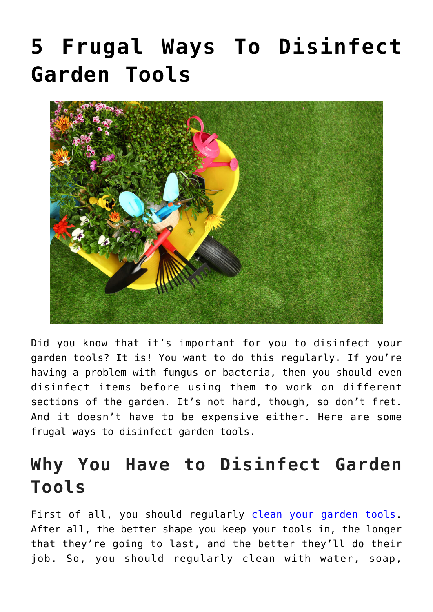# **[5 Frugal Ways To Disinfect](https://www.frugalgardening.com/5-frugal-ways-to-disinfect-garden-tools.html) [Garden Tools](https://www.frugalgardening.com/5-frugal-ways-to-disinfect-garden-tools.html)**



Did you know that it's important for you to disinfect your garden tools? It is! You want to do this regularly. If you're having a problem with fungus or bacteria, then you should even disinfect items before using them to work on different sections of the garden. It's not hard, though, so don't fret. And it doesn't have to be expensive either. Here are some frugal ways to disinfect garden tools.

## **Why You Have to Disinfect Garden Tools**

First of all, you should regularly [clean your garden tools.](https://www.hgtv.com/lifestyle/clean-and-organize/how-to-clean-garden-tools-pictures) After all, the better shape you keep your tools in, the longer that they're going to last, and the better they'll do their job. So, you should regularly clean with water, soap,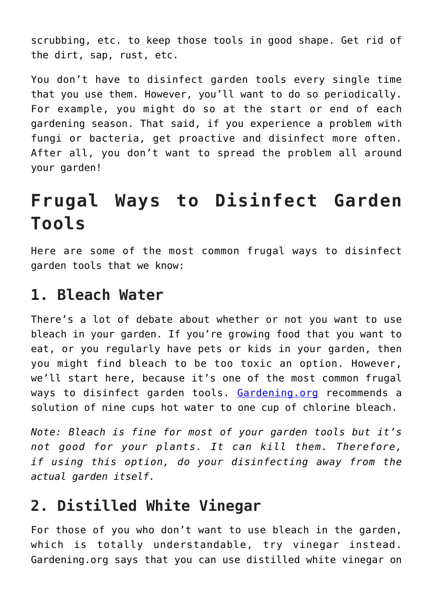scrubbing, etc. to keep those tools in good shape. Get rid of the dirt, sap, rust, etc.

You don't have to disinfect garden tools every single time that you use them. However, you'll want to do so periodically. For example, you might do so at the start or end of each gardening season. That said, if you experience a problem with fungi or bacteria, get proactive and disinfect more often. After all, you don't want to spread the problem all around your garden!

## **Frugal Ways to Disinfect Garden Tools**

Here are some of the most common frugal ways to disinfect garden tools that we know:

#### **1. Bleach Water**

There's a lot of debate about whether or not you want to use bleach in your garden. If you're growing food that you want to eat, or you regularly have pets or kids in your garden, then you might find bleach to be too toxic an option. However, we'll start here, because it's one of the most common frugal ways to disinfect garden tools. [Gardening.org](https://gardening.org/clean-maintain-and-store-garden-tools/) recommends a solution of nine cups hot water to one cup of chlorine bleach.

*Note: Bleach is fine for most of your garden tools but it's not good for your plants. It can kill them. Therefore, if using this option, do your disinfecting away from the actual garden itself.*

#### **2. Distilled White Vinegar**

For those of you who don't want to use bleach in the garden, which is totally understandable, try vinegar instead. Gardening.org says that you can use distilled white vinegar on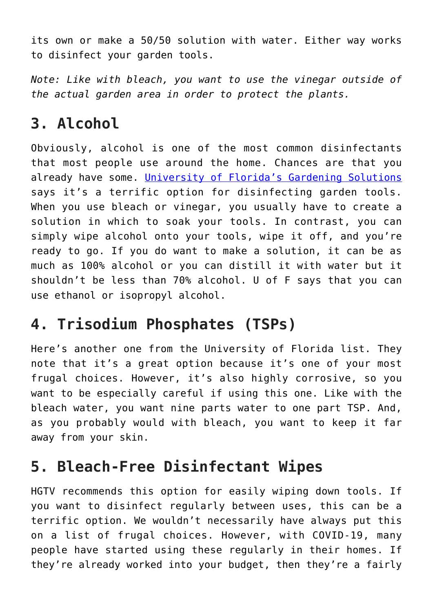its own or make a 50/50 solution with water. Either way works to disinfect your garden tools.

*Note: Like with bleach, you want to use the vinegar outside of the actual garden area in order to protect the plants.*

#### **3. Alcohol**

Obviously, alcohol is one of the most common disinfectants that most people use around the home. Chances are that you already have some. [University of Florida's Gardening Solutions](https://gardeningsolutions.ifas.ufl.edu/care/tools-and-equipment/disinfecting-tools.html) says it's a terrific option for disinfecting garden tools. When you use bleach or vinegar, you usually have to create a solution in which to soak your tools. In contrast, you can simply wipe alcohol onto your tools, wipe it off, and you're ready to go. If you do want to make a solution, it can be as much as 100% alcohol or you can distill it with water but it shouldn't be less than 70% alcohol. U of F says that you can use ethanol or isopropyl alcohol.

### **4. Trisodium Phosphates (TSPs)**

Here's another one from the University of Florida list. They note that it's a great option because it's one of your most frugal choices. However, it's also highly corrosive, so you want to be especially careful if using this one. Like with the bleach water, you want nine parts water to one part TSP. And, as you probably would with bleach, you want to keep it far away from your skin.

#### **5. Bleach-Free Disinfectant Wipes**

HGTV recommends this option for easily wiping down tools. If you want to disinfect regularly between uses, this can be a terrific option. We wouldn't necessarily have always put this on a list of frugal choices. However, with COVID-19, many people have started using these regularly in their homes. If they're already worked into your budget, then they're a fairly